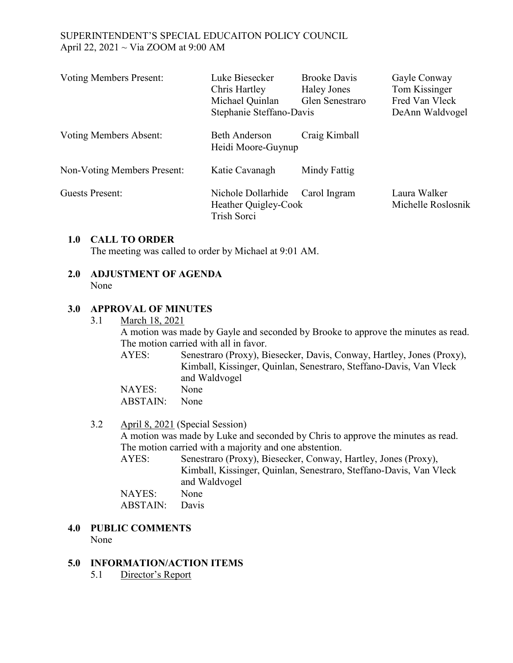| <b>Voting Members Present:</b> | Luke Biesecker<br>Chris Hartley<br>Michael Quinlan<br>Stephanie Steffano-Davis | <b>Brooke Davis</b><br><b>Haley Jones</b><br>Glen Senestraro | Gayle Conway<br>Tom Kissinger<br>Fred Van Vleck<br>DeAnn Waldvogel |
|--------------------------------|--------------------------------------------------------------------------------|--------------------------------------------------------------|--------------------------------------------------------------------|
| <b>Voting Members Absent:</b>  | <b>Beth Anderson</b><br>Heidi Moore-Guynup                                     | Craig Kimball                                                |                                                                    |
| Non-Voting Members Present:    | Katie Cavanagh                                                                 | Mindy Fattig                                                 |                                                                    |
| <b>Guests Present:</b>         | Nichole Dollarhide<br>Heather Quigley-Cook<br>Trish Sorci                      | Carol Ingram                                                 | Laura Walker<br>Michelle Roslosnik                                 |

### **1.0 CALL TO ORDER**

The meeting was called to order by Michael at 9:01 AM.

**2.0 ADJUSTMENT OF AGENDA** None

### **3.0 APPROVAL OF MINUTES**

3.1 March 18, 2021

A motion was made by Gayle and seconded by Brooke to approve the minutes as read. The motion carried with all in favor.

AYES: Senestraro (Proxy), Biesecker, Davis, Conway, Hartley, Jones (Proxy), Kimball, Kissinger, Quinlan, Senestraro, Steffano-Davis, Van Vleck and Waldvogel

NAYES: None ABSTAIN: None

# 3.2 April 8, 2021 (Special Session)

A motion was made by Luke and seconded by Chris to approve the minutes as read. The motion carried with a majority and one abstention.

AYES: Senestraro (Proxy), Biesecker, Conway, Hartley, Jones (Proxy), Kimball, Kissinger, Quinlan, Senestraro, Steffano-Davis, Van Vleck and Waldvogel

NAYES: None ABSTAIN: Davis

#### **4.0 PUBLIC COMMENTS**  None

### **5.0 INFORMATION/ACTION ITEMS**

5.1 Director's Report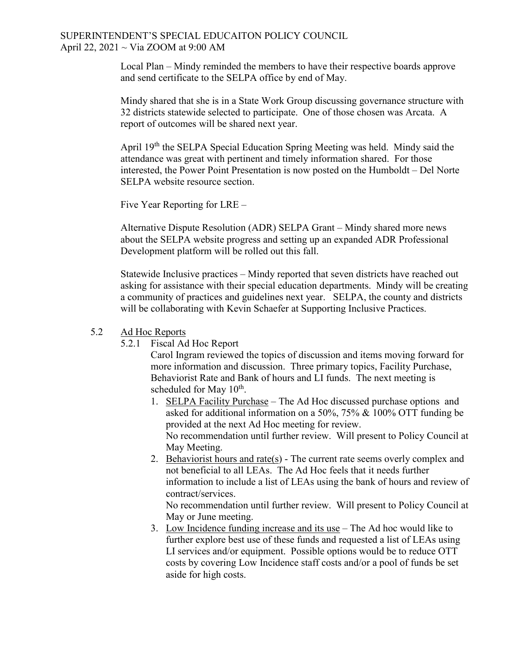Local Plan – Mindy reminded the members to have their respective boards approve and send certificate to the SELPA office by end of May.

Mindy shared that she is in a State Work Group discussing governance structure with 32 districts statewide selected to participate. One of those chosen was Arcata. A report of outcomes will be shared next year.

April 19th the SELPA Special Education Spring Meeting was held. Mindy said the attendance was great with pertinent and timely information shared. For those interested, the Power Point Presentation is now posted on the Humboldt – Del Norte SELPA website resource section.

Five Year Reporting for LRE –

Alternative Dispute Resolution (ADR) SELPA Grant – Mindy shared more news about the SELPA website progress and setting up an expanded ADR Professional Development platform will be rolled out this fall.

Statewide Inclusive practices – Mindy reported that seven districts have reached out asking for assistance with their special education departments. Mindy will be creating a community of practices and guidelines next year. SELPA, the county and districts will be collaborating with Kevin Schaefer at Supporting Inclusive Practices.

#### 5.2 Ad Hoc Reports

5.2.1 Fiscal Ad Hoc Report

Carol Ingram reviewed the topics of discussion and items moving forward for more information and discussion. Three primary topics, Facility Purchase, Behaviorist Rate and Bank of hours and LI funds. The next meeting is scheduled for May  $10^{th}$ .

- 1. SELPA Facility Purchase The Ad Hoc discussed purchase options and asked for additional information on a 50%, 75% & 100% OTT funding be provided at the next Ad Hoc meeting for review. No recommendation until further review. Will present to Policy Council at May Meeting.
- 2. Behaviorist hours and rate(s) The current rate seems overly complex and not beneficial to all LEAs. The Ad Hoc feels that it needs further information to include a list of LEAs using the bank of hours and review of contract/services.

No recommendation until further review. Will present to Policy Council at May or June meeting.

3. Low Incidence funding increase and its use – The Ad hoc would like to further explore best use of these funds and requested a list of LEAs using LI services and/or equipment. Possible options would be to reduce OTT costs by covering Low Incidence staff costs and/or a pool of funds be set aside for high costs.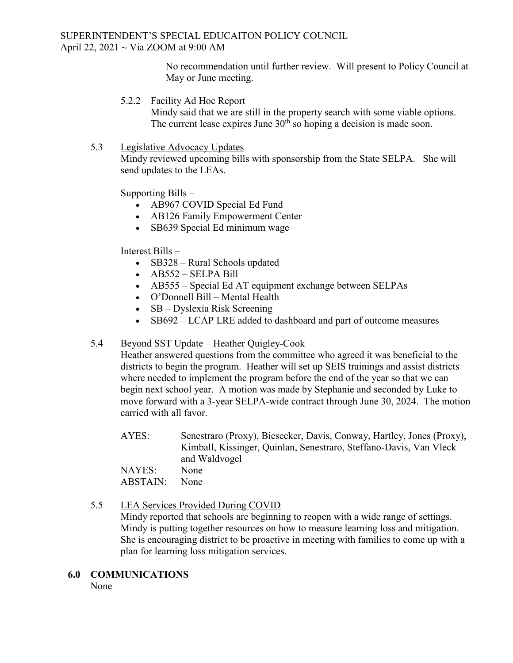No recommendation until further review. Will present to Policy Council at May or June meeting.

5.2.2 Facility Ad Hoc Report

Mindy said that we are still in the property search with some viable options. The current lease expires June  $30<sup>th</sup>$  so hoping a decision is made soon.

5.3 Legislative Advocacy Updates

Mindy reviewed upcoming bills with sponsorship from the State SELPA. She will send updates to the LEAs.

Supporting Bills –

- AB967 COVID Special Ed Fund
- AB126 Family Empowerment Center
- SB639 Special Ed minimum wage

Interest Bills –

- SB328 Rural Schools updated
- AB552 SELPA Bill
- AB555 Special Ed AT equipment exchange between SELPAs
- O'Donnell Bill Mental Health
- SB Dyslexia Risk Screening
- SB692 LCAP LRE added to dashboard and part of outcome measures

### 5.4 Beyond SST Update – Heather Quigley-Cook

Heather answered questions from the committee who agreed it was beneficial to the districts to begin the program. Heather will set up SEIS trainings and assist districts where needed to implement the program before the end of the year so that we can begin next school year. A motion was made by Stephanie and seconded by Luke to move forward with a 3-year SELPA-wide contract through June 30, 2024. The motion carried with all favor.

AYES: Senestraro (Proxy), Biesecker, Davis, Conway, Hartley, Jones (Proxy), Kimball, Kissinger, Quinlan, Senestraro, Steffano-Davis, Van Vleck and Waldvogel

NAYES: None

ABSTAIN: None

# 5.5 LEA Services Provided During COVID

Mindy reported that schools are beginning to reopen with a wide range of settings. Mindy is putting together resources on how to measure learning loss and mitigation. She is encouraging district to be proactive in meeting with families to come up with a plan for learning loss mitigation services.

### **6.0 COMMUNICATIONS**

None